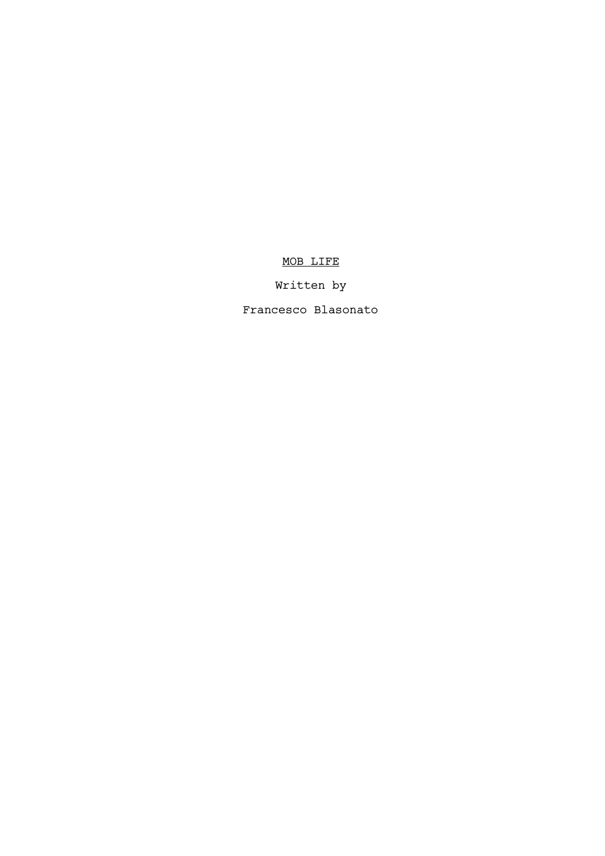# MOB LIFE

# Written by

Francesco Blasonato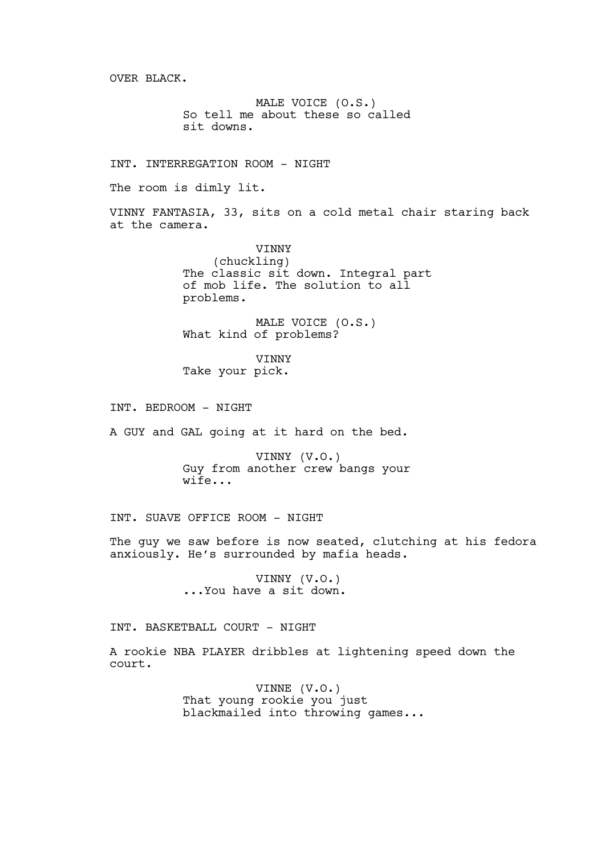OVER BLACK.

MALE VOICE (O.S.) So tell me about these so called sit downs.

INT. INTERREGATION ROOM - NIGHT

The room is dimly lit.

VINNY FANTASIA, 33, sits on a cold metal chair staring back at the camera.

> VINNY (chuckling) The classic sit down. Integral part of mob life. The solution to all problems.

MALE VOICE (O.S.) What kind of problems?

VINNY Take your pick.

INT. BEDROOM - NIGHT

A GUY and GAL going at it hard on the bed.

VINNY (V.O.) Guy from another crew bangs your wife...

INT. SUAVE OFFICE ROOM - NIGHT

The guy we saw before is now seated, clutching at his fedora anxiously. He's surrounded by mafia heads.

> VINNY (V.O.) ...You have a sit down.

INT. BASKETBALL COURT - NIGHT

A rookie NBA PLAYER dribbles at lightening speed down the court.

> VINNE (V.O.) That young rookie you just blackmailed into throwing games...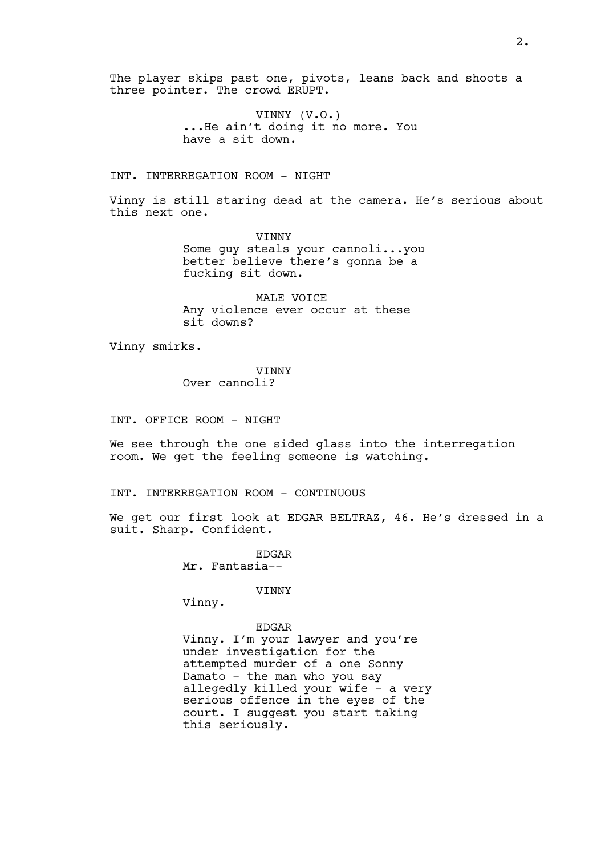The player skips past one, pivots, leans back and shoots a three pointer. The crowd ERUPT.

> VINNY (V.O.) ...He ain't doing it no more. You have a sit down.

INT. INTERREGATION ROOM - NIGHT

Vinny is still staring dead at the camera. He's serious about this next one.

> **VINNY** Some guy steals your cannoli...you better believe there's gonna be a fucking sit down.

MALE VOICE Any violence ever occur at these sit downs?

Vinny smirks.

VINNY Over cannoli?

INT. OFFICE ROOM - NIGHT

We see through the one sided glass into the interregation room. We get the feeling someone is watching.

INT. INTERREGATION ROOM - CONTINUOUS

We get our first look at EDGAR BELTRAZ, 46. He's dressed in a suit. Sharp. Confident.

> EDGAR Mr. Fantasia--

> > VINNY

Vinny.

EDGAR Vinny. I'm your lawyer and you're under investigation for the attempted murder of a one Sonny Damato - the man who you say allegedly killed your wife - a very serious offence in the eyes of the court. I suggest you start taking this seriously.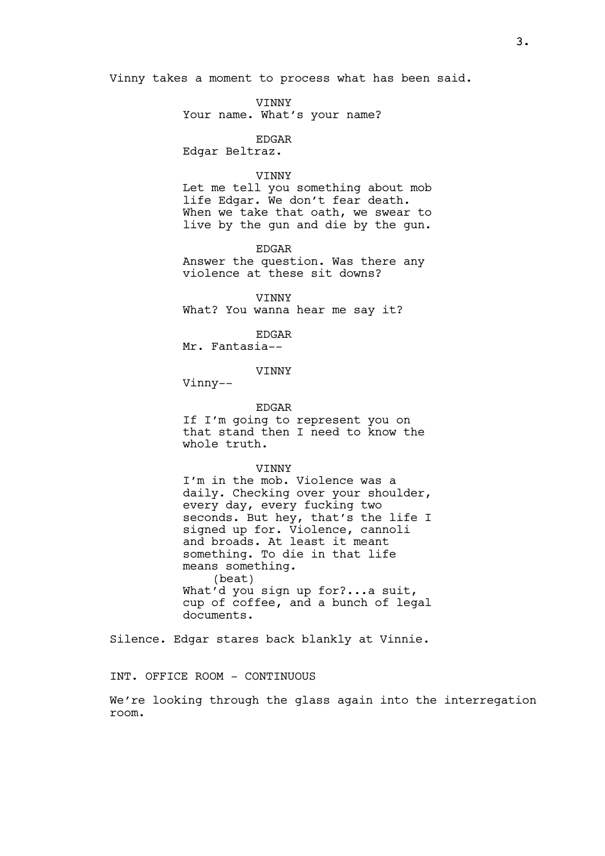Vinny takes a moment to process what has been said.

**VINNY** Your name. What's your name?

EDGAR

Edgar Beltraz.

# **VINNY**

Let me tell you something about mob life Edgar. We don't fear death. When we take that oath, we swear to live by the gun and die by the gun.

EDGAR

Answer the question. Was there any violence at these sit downs?

VINNY What? You wanna hear me say it?

EDGAR

Mr. Fantasia--

VINNY

Vinny--

### EDGAR

If I'm going to represent you on that stand then I need to know the whole truth.

VINNY

I'm in the mob. Violence was a daily. Checking over your shoulder, every day, every fucking two seconds. But hey, that's the life I signed up for. Violence, cannoli and broads. At least it meant something. To die in that life means something. (beat) What'd you sign up for?...a suit, cup of coffee, and a bunch of legal documents.

Silence. Edgar stares back blankly at Vinnie.

INT. OFFICE ROOM - CONTINUOUS

We're looking through the glass again into the interregation room.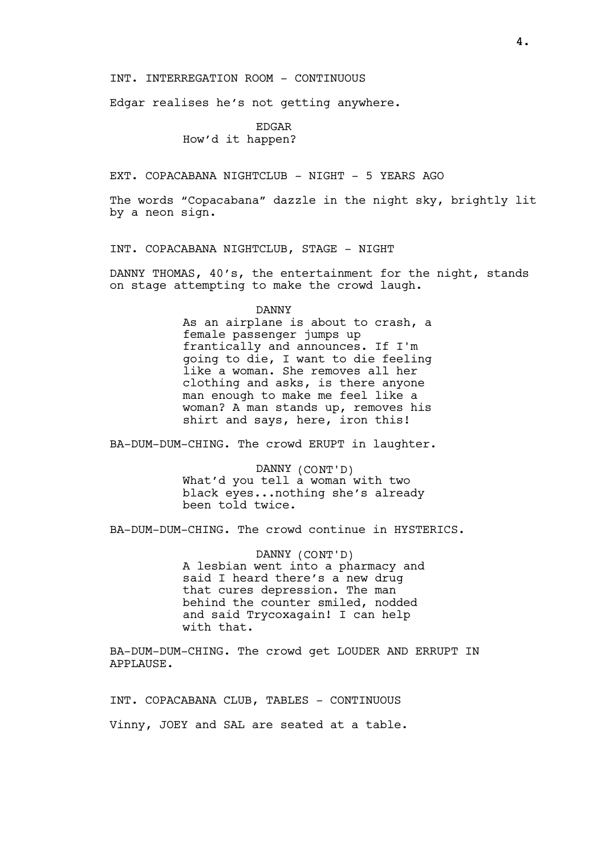INT. INTERREGATION ROOM - CONTINUOUS

Edgar realises he's not getting anywhere.

# EDGAR How'd it happen?

EXT. COPACABANA NIGHTCLUB - NIGHT - 5 YEARS AGO

The words "Copacabana" dazzle in the night sky, brightly lit by a neon sign.

INT. COPACABANA NIGHTCLUB, STAGE - NIGHT

DANNY THOMAS, 40's, the entertainment for the night, stands on stage attempting to make the crowd laugh.

DANNY

As an airplane is about to crash, a female passenger jumps up frantically and announces. If I'm going to die, I want to die feeling like a woman. She removes all her clothing and asks, is there anyone man enough to make me feel like a woman? A man stands up, removes his shirt and says, here, iron this!

BA-DUM-DUM-CHING. The crowd ERUPT in laughter.

DANNY (CONT'D) What'd you tell a woman with two black eyes...nothing she's already been told twice.

BA-DUM-DUM-CHING. The crowd continue in HYSTERICS.

DANNY (CONT'D) A lesbian went into a pharmacy and said I heard there's a new drug that cures depression. The man behind the counter smiled, nodded and said Trycoxagain! I can help with that.

BA-DUM-DUM-CHING. The crowd get LOUDER AND ERRUPT IN APPLAUSE.

INT. COPACABANA CLUB, TABLES - CONTINUOUS Vinny, JOEY and SAL are seated at a table.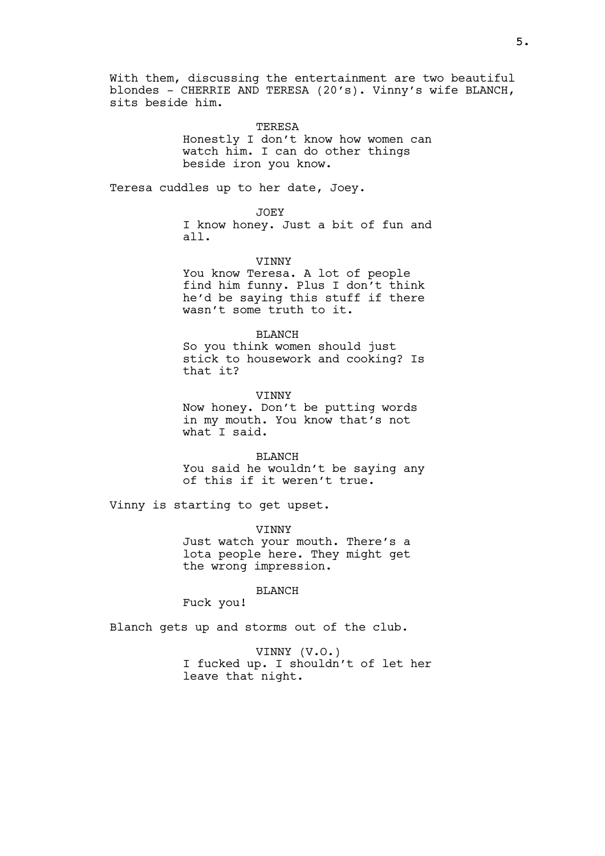With them, discussing the entertainment are two beautiful blondes - CHERRIE AND TERESA (20's). Vinny's wife BLANCH, sits beside him.

> TERESA Honestly I don't know how women can watch him. I can do other things beside iron you know.

Teresa cuddles up to her date, Joey.

JOEY

I know honey. Just a bit of fun and all.

**VINNY** 

You know Teresa. A lot of people find him funny. Plus I don't think he'd be saying this stuff if there wasn't some truth to it.

BLANCH

So you think women should just stick to housework and cooking? Is that it?

VINNY Now honey. Don't be putting words in my mouth. You know that's not what I said.

BLANCH You said he wouldn't be saying any of this if it weren't true.

Vinny is starting to get upset.

VINNY Just watch your mouth. There's a lota people here. They might get the wrong impression.

BLANCH

Fuck you!

Blanch gets up and storms out of the club.

VINNY (V.O.) I fucked up. I shouldn't of let her leave that night.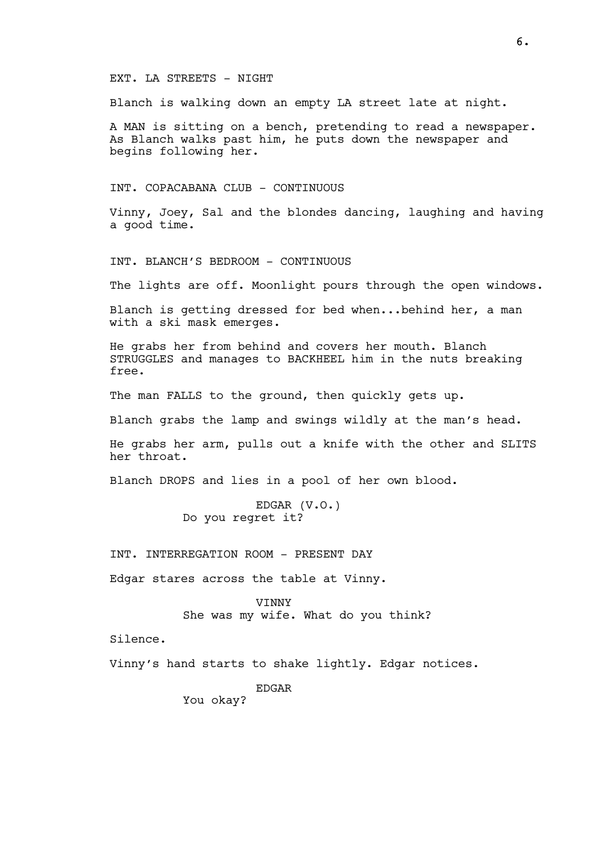### EXT. LA STREETS - NIGHT

Blanch is walking down an empty LA street late at night.

A MAN is sitting on a bench, pretending to read a newspaper. As Blanch walks past him, he puts down the newspaper and begins following her.

INT. COPACABANA CLUB - CONTINUOUS

Vinny, Joey, Sal and the blondes dancing, laughing and having a good time.

INT. BLANCH'S BEDROOM - CONTINUOUS

The lights are off. Moonlight pours through the open windows.

Blanch is getting dressed for bed when...behind her, a man with a ski mask emerges.

He grabs her from behind and covers her mouth. Blanch STRUGGLES and manages to BACKHEEL him in the nuts breaking free.

The man FALLS to the ground, then quickly gets up.

Blanch grabs the lamp and swings wildly at the man's head.

He grabs her arm, pulls out a knife with the other and SLITS her throat.

Blanch DROPS and lies in a pool of her own blood.

EDGAR (V.O.) Do you regret it?

INT. INTERREGATION ROOM - PRESENT DAY

Edgar stares across the table at Vinny.

VINNY She was my wife. What do you think?

Silence.

Vinny's hand starts to shake lightly. Edgar notices.

EDGAR

You okay?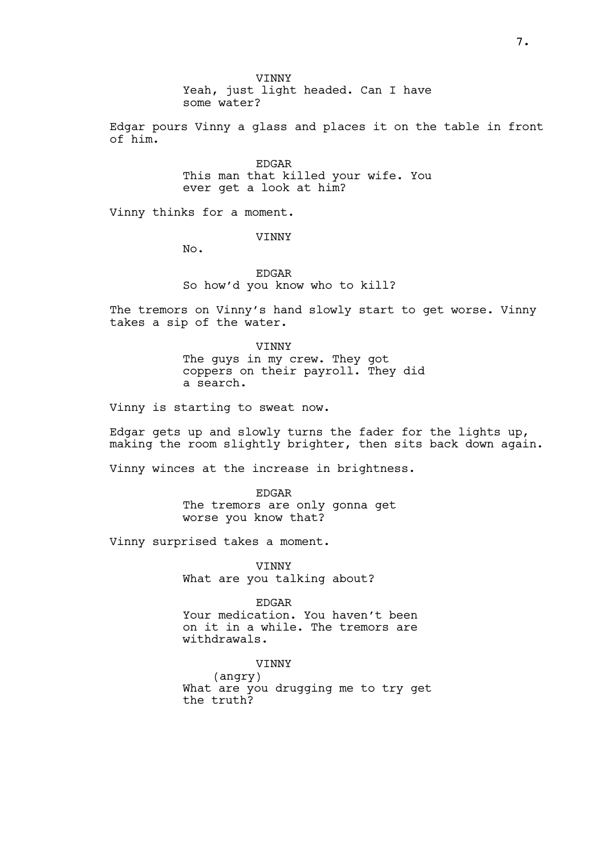**VINNY** Yeah, just light headed. Can I have some water?

Edgar pours Vinny a glass and places it on the table in front of him.

> EDGAR This man that killed your wife. You ever get a look at him?

Vinny thinks for a moment.

VINNY

No.

EDGAR So how'd you know who to kill?

The tremors on Vinny's hand slowly start to get worse. Vinny takes a sip of the water.

> VINNY The guys in my crew. They got coppers on their payroll. They did a search.

Vinny is starting to sweat now.

Edgar gets up and slowly turns the fader for the lights up, making the room slightly brighter, then sits back down again.

Vinny winces at the increase in brightness.

EDGAR The tremors are only gonna get worse you know that?

Vinny surprised takes a moment.

VINNY What are you talking about?

EDGAR Your medication. You haven't been on it in a while. The tremors are withdrawals.

VINNY (angry) What are you drugging me to try get the truth?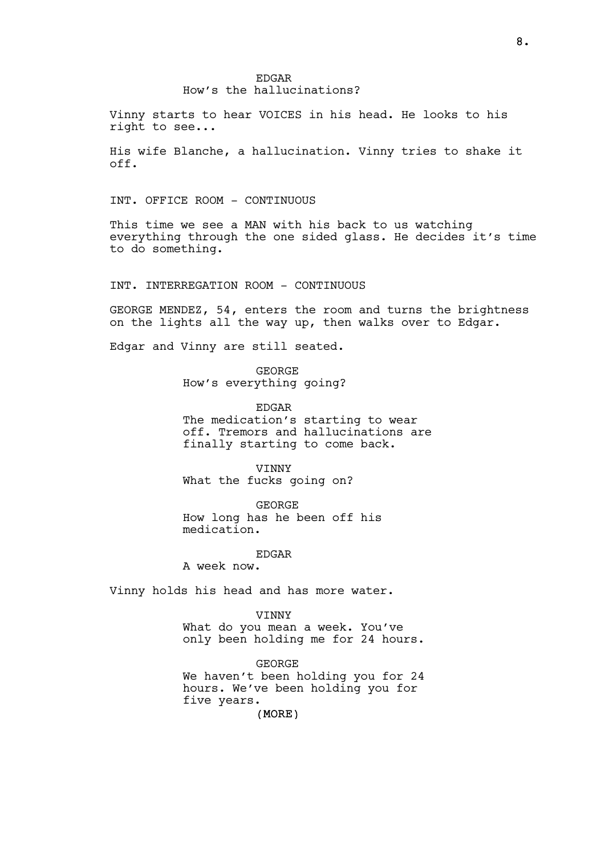# EDGAR How's the hallucinations?

Vinny starts to hear VOICES in his head. He looks to his right to see...

His wife Blanche, a hallucination. Vinny tries to shake it off.

## INT. OFFICE ROOM - CONTINUOUS

This time we see a MAN with his back to us watching everything through the one sided glass. He decides it's time to do something.

INT. INTERREGATION ROOM - CONTINUOUS

GEORGE MENDEZ, 54, enters the room and turns the brightness on the lights all the way up, then walks over to Edgar.

Edgar and Vinny are still seated.

GEORGE How's everything going?

EDGAR The medication's starting to wear off. Tremors and hallucinations are

finally starting to come back.

VINNY What the fucks going on?

GEORGE How long has he been off his medication.

EDGAR

A week now.

Vinny holds his head and has more water.

VINNY

What do you mean a week. You've only been holding me for 24 hours.

GEORGE We haven't been holding you for 24 hours. We've been holding you for five years.

(MORE)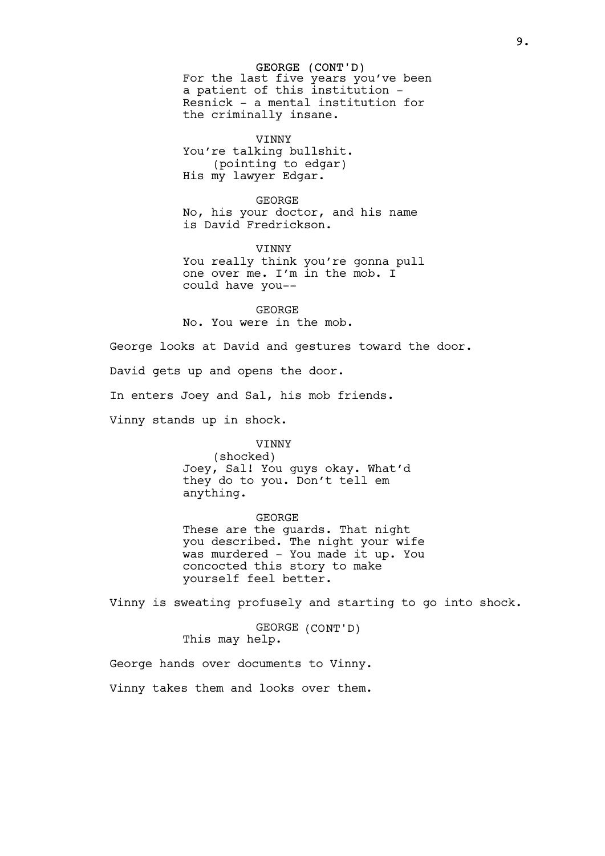GEORGE (CONT'D) For the last five years you've been a patient of this institution - Resnick - a mental institution for the criminally insane.

VINNY You're talking bullshit. (pointing to edgar) His my lawyer Edgar.

GEORGE No, his your doctor, and his name is David Fredrickson.

VINNY You really think you're gonna pull one over me. I'm in the mob. I could have you--

GEORGE No. You were in the mob.

George looks at David and gestures toward the door. David gets up and opens the door. In enters Joey and Sal, his mob friends. Vinny stands up in shock.

> VINNY (shocked) Joey, Sal! You guys okay. What'd they do to you. Don't tell em anything.

GEORGE These are the guards. That night you described. The night your wife was murdered - You made it up. You concocted this story to make yourself feel better.

Vinny is sweating profusely and starting to go into shock.

GEORGE (CONT'D) This may help.

George hands over documents to Vinny.

Vinny takes them and looks over them.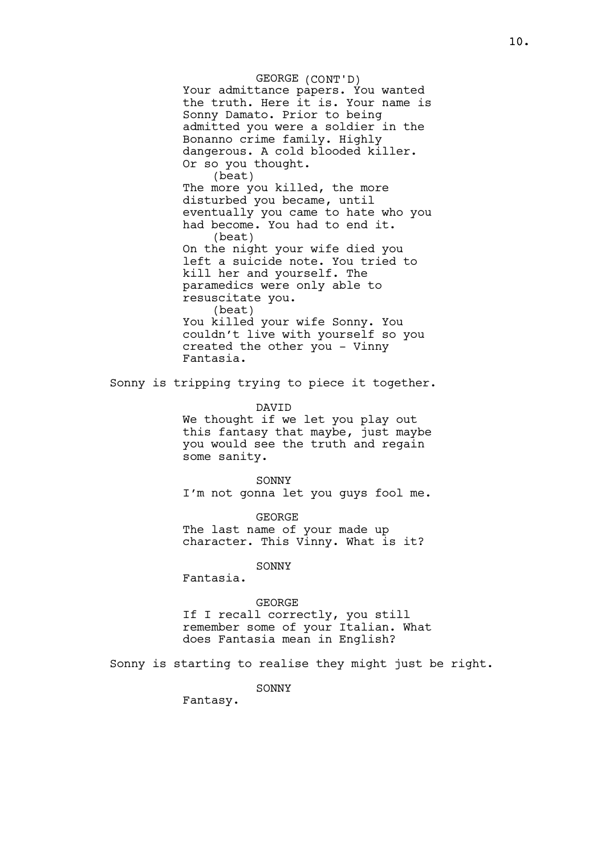GEORGE (CONT'D) Your admittance papers. You wanted the truth. Here it is. Your name is Sonny Damato. Prior to being admitted you were a soldier in the Bonanno crime family. Highly dangerous. A cold blooded killer. Or so you thought. (beat) The more you killed, the more disturbed you became, until eventually you came to hate who you had become. You had to end it. (beat) On the night your wife died you left a suicide note. You tried to kill her and yourself. The paramedics were only able to resuscitate you. (beat) You killed your wife Sonny. You couldn't live with yourself so you created the other you - Vinny Fantasia.

Sonny is tripping trying to piece it together.

DAVID

We thought if we let you play out this fantasy that maybe, just maybe you would see the truth and regain some sanity.

SONNY I'm not gonna let you guys fool me.

GEORGE The last name of your made up character. This Vinny. What is it?

**SONNY** 

Fantasia.

GEORGE

If I recall correctly, you still remember some of your Italian. What does Fantasia mean in English?

Sonny is starting to realise they might just be right.

SONNY

Fantasy.